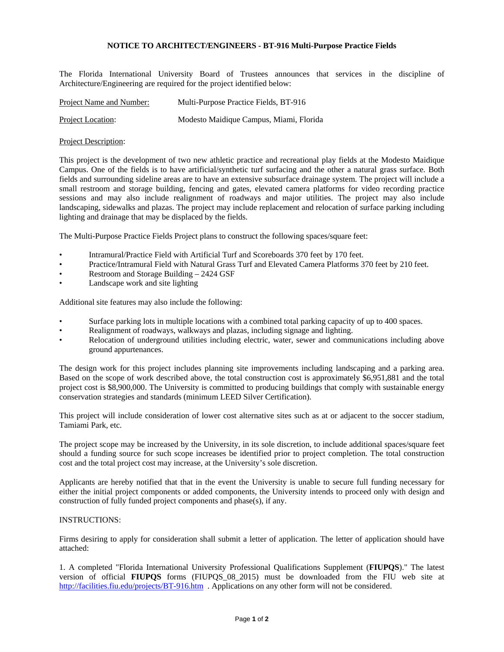## **NOTICE TO ARCHITECT/ENGINEERS - BT-916 Multi-Purpose Practice Fields**

The Florida International University Board of Trustees announces that services in the discipline of Architecture/Engineering are required for the project identified below:

| Project Name and Number: | Multi-Purpose Practice Fields, BT-916   |
|--------------------------|-----------------------------------------|
| <b>Project Location:</b> | Modesto Maidique Campus, Miami, Florida |

# Project Description:

This project is the development of two new athletic practice and recreational play fields at the Modesto Maidique Campus. One of the fields is to have artificial/synthetic turf surfacing and the other a natural grass surface. Both fields and surrounding sideline areas are to have an extensive subsurface drainage system. The project will include a small restroom and storage building, fencing and gates, elevated camera platforms for video recording practice sessions and may also include realignment of roadways and major utilities. The project may also include landscaping, sidewalks and plazas. The project may include replacement and relocation of surface parking including lighting and drainage that may be displaced by the fields.

The Multi-Purpose Practice Fields Project plans to construct the following spaces/square feet:

- Intramural/Practice Field with Artificial Turf and Scoreboards 370 feet by 170 feet.
- Practice/Intramural Field with Natural Grass Turf and Elevated Camera Platforms 370 feet by 210 feet.
- Restroom and Storage Building 2424 GSF
- Landscape work and site lighting

Additional site features may also include the following:

- Surface parking lots in multiple locations with a combined total parking capacity of up to 400 spaces.
- Realignment of roadways, walkways and plazas, including signage and lighting.
- Relocation of underground utilities including electric, water, sewer and communications including above ground appurtenances.

The design work for this project includes planning site improvements including landscaping and a parking area. Based on the scope of work described above, the total construction cost is approximately \$6,951,881 and the total project cost is \$8,900,000. The University is committed to producing buildings that comply with sustainable energy conservation strategies and standards (minimum LEED Silver Certification).

This project will include consideration of lower cost alternative sites such as at or adjacent to the soccer stadium, Tamiami Park, etc.

The project scope may be increased by the University, in its sole discretion, to include additional spaces/square feet should a funding source for such scope increases be identified prior to project completion. The total construction cost and the total project cost may increase, at the University's sole discretion.

Applicants are hereby notified that that in the event the University is unable to secure full funding necessary for either the initial project components or added components, the University intends to proceed only with design and construction of fully funded project components and phase(s), if any.

#### INSTRUCTIONS:

Firms desiring to apply for consideration shall submit a letter of application. The letter of application should have attached:

1. A completed "Florida International University Professional Qualifications Supplement (**FIUPQS**)." The latest version of official **FIUPQS** forms (FIUPQS\_08\_2015) must be downloaded from the FIU web site at http://facilities.fiu.edu/projects/BT-916.htm . Applications on any other form will not be considered.